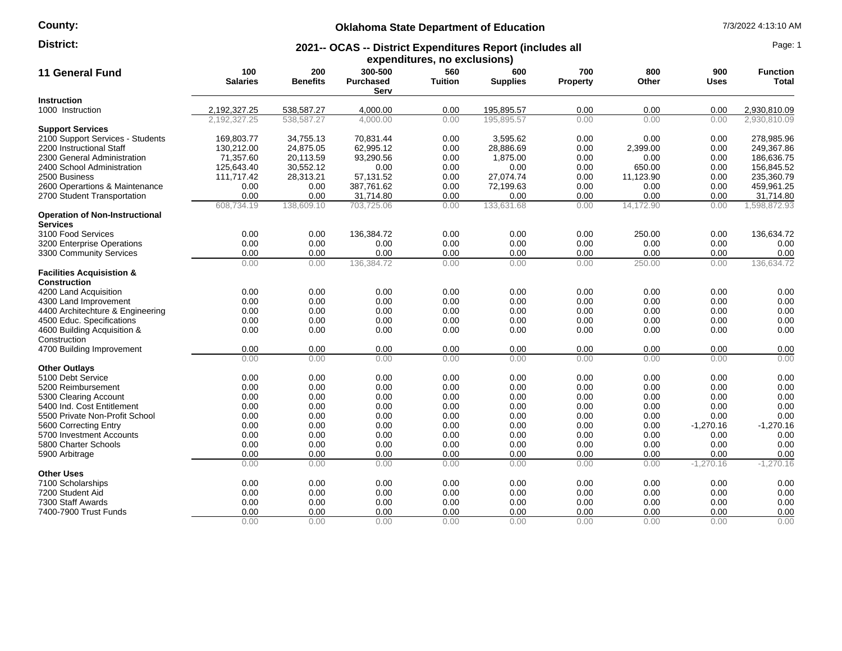## **County:**

## **Oklahoma State Department of Education** 7/3/2022 4:13:10 AM

### **2021-- OCAS -- District Expenditures Report (includes all District:** Page: 1

| expenditures, no exclusions)                                |                        |                        |                                     |                       |                        |                        |              |                    |                          |
|-------------------------------------------------------------|------------------------|------------------------|-------------------------------------|-----------------------|------------------------|------------------------|--------------|--------------------|--------------------------|
| <b>11 General Fund</b>                                      | 100<br><b>Salaries</b> | 200<br><b>Benefits</b> | 300-500<br><b>Purchased</b><br>Serv | 560<br><b>Tuition</b> | 600<br><b>Supplies</b> | 700<br><b>Property</b> | 800<br>Other | 900<br><b>Uses</b> | <b>Function</b><br>Total |
| <b>Instruction</b>                                          |                        |                        |                                     |                       |                        |                        |              |                    |                          |
| 1000 Instruction                                            | 2,192,327.25           | 538,587.27             | 4,000.00                            | 0.00                  | 195,895.57             | 0.00                   | 0.00         | 0.00               | 2,930,810.09             |
|                                                             | 2.192.327.25           | 538.587.27             | 4,000.00                            | 0.00                  | 195.895.57             | 0.00                   | 0.00         | 0.00               | 2.930.810.09             |
| <b>Support Services</b>                                     |                        |                        |                                     |                       |                        |                        |              |                    |                          |
| 2100 Support Services - Students                            | 169,803.77             | 34,755.13              | 70,831.44                           | 0.00                  | 3,595.62               | 0.00                   | 0.00         | 0.00               | 278,985.96               |
| 2200 Instructional Staff                                    | 130,212.00             | 24,875.05              | 62,995.12                           | 0.00                  | 28,886.69              | 0.00                   | 2,399.00     | 0.00               | 249,367.86               |
| 2300 General Administration                                 | 71,357.60              | 20,113.59              | 93,290.56                           | 0.00                  | 1,875.00               | 0.00                   | 0.00         | 0.00               | 186,636.75               |
| 2400 School Administration                                  | 125,643.40             | 30,552.12              | 0.00                                | 0.00                  | 0.00                   | 0.00                   | 650.00       | 0.00               | 156,845.52               |
| 2500 Business                                               | 111,717.42             | 28,313.21              | 57,131.52                           | 0.00                  | 27,074.74              | 0.00                   | 11,123.90    | 0.00               | 235,360.79               |
| 2600 Operartions & Maintenance                              | 0.00                   | 0.00                   | 387,761.62                          | 0.00                  | 72,199.63              | 0.00                   | 0.00         | 0.00               | 459,961.25               |
| 2700 Student Transportation                                 | 0.00                   | 0.00                   | 31,714.80                           | 0.00                  | 0.00                   | 0.00                   | 0.00         | 0.00               | 31,714.80                |
|                                                             | 608,734.19             | 138,609.10             | 703,725.06                          | 0.00                  | 133,631.68             | 0.00                   | 14,172.90    | 0.00               | 598,872.93               |
| <b>Operation of Non-Instructional</b><br><b>Services</b>    |                        |                        |                                     |                       |                        |                        |              |                    |                          |
| 3100 Food Services                                          | 0.00                   | 0.00                   | 136,384.72                          | 0.00                  | 0.00                   | 0.00                   | 250.00       | 0.00               | 136,634.72               |
| 3200 Enterprise Operations                                  | 0.00                   | 0.00                   | 0.00                                | 0.00                  | 0.00                   | 0.00                   | 0.00         | 0.00               | 0.00                     |
| 3300 Community Services                                     | 0.00                   | 0.00                   | 0.00                                | 0.00                  | 0.00                   | 0.00                   | 0.00         | 0.00               | 0.00                     |
|                                                             | 0.00                   | 0.00                   | 136,384.72                          | 0.00                  | 0.00                   | 0.00                   | 250.00       | 0.00               | 136,634.72               |
| <b>Facilities Acquisistion &amp;</b><br><b>Construction</b> |                        |                        |                                     |                       |                        |                        |              |                    |                          |
| 4200 Land Acquisition                                       | 0.00                   | 0.00                   | 0.00                                | 0.00                  | 0.00                   | 0.00                   | 0.00         | 0.00               | 0.00                     |
| 4300 Land Improvement                                       | 0.00                   | 0.00                   | 0.00                                | 0.00                  | 0.00                   | 0.00                   | 0.00         | 0.00               | 0.00                     |
| 4400 Architechture & Engineering                            | 0.00                   | 0.00                   | 0.00                                | 0.00                  | 0.00                   | 0.00                   | 0.00         | 0.00               | 0.00                     |
| 4500 Educ. Specifications                                   | 0.00                   | 0.00                   | 0.00                                | 0.00                  | 0.00                   | 0.00                   | 0.00         | 0.00               | 0.00                     |
| 4600 Building Acquisition &                                 | 0.00                   | 0.00                   | 0.00                                | 0.00                  | 0.00                   | 0.00                   | 0.00         | 0.00               | 0.00                     |
| Construction                                                |                        |                        |                                     |                       |                        |                        |              |                    |                          |
| 4700 Building Improvement                                   | 0.00                   | 0.00                   | 0.00                                | 0.00                  | 0.00                   | 0.00                   | 0.00         | 0.00               | 0.00                     |
|                                                             | 0.00                   | 0.00                   | 0.00                                | 0.00                  | 0.00                   | 0.00                   | 0.00         | 0.00               | 0.00                     |
| <b>Other Outlays</b>                                        |                        |                        |                                     |                       |                        |                        |              |                    |                          |
| 5100 Debt Service                                           | 0.00                   | 0.00                   | 0.00                                | 0.00                  | 0.00                   | 0.00                   | 0.00         | 0.00               | 0.00                     |
| 5200 Reimbursement                                          | 0.00                   | 0.00                   | 0.00                                | 0.00                  | 0.00                   | 0.00                   | 0.00         | 0.00               | 0.00                     |
| 5300 Clearing Account                                       | 0.00                   | 0.00                   | 0.00                                | 0.00                  | 0.00                   | 0.00                   | 0.00         | 0.00               | 0.00                     |
| 5400 Ind. Cost Entitlement                                  | 0.00                   | 0.00                   | 0.00                                | 0.00                  | 0.00                   | 0.00                   | 0.00         | 0.00               | 0.00                     |
| 5500 Private Non-Profit School                              | 0.00                   | 0.00                   | 0.00                                | 0.00                  | 0.00                   | 0.00                   | 0.00         | 0.00               | 0.00                     |
| 5600 Correcting Entry                                       | 0.00                   | 0.00                   | 0.00                                | 0.00                  | 0.00                   | 0.00                   | 0.00         | $-1,270.16$        | $-1,270.16$              |
| 5700 Investment Accounts                                    | 0.00                   | 0.00                   | 0.00                                | 0.00                  | 0.00                   | 0.00                   | 0.00         | 0.00               | 0.00                     |
| 5800 Charter Schools                                        | 0.00                   | 0.00                   | 0.00                                | 0.00                  | 0.00                   | 0.00                   | 0.00         | 0.00               | 0.00                     |
| 5900 Arbitrage                                              | 0.00                   | 0.00                   | 0.00                                | 0.00                  | 0.00                   | 0.00                   | 0.00         | 0.00               | 0.00                     |
|                                                             | 0.00                   | 0.00                   | 0.00                                | 0.00                  | 0.00                   | 0.00                   | 0.00         | $-1,270.16$        | $-1,270.16$              |
| <b>Other Uses</b>                                           |                        |                        |                                     |                       |                        |                        |              |                    |                          |
| 7100 Scholarships                                           | 0.00                   | 0.00                   | 0.00                                | 0.00                  | 0.00                   | 0.00                   | 0.00         | 0.00               | 0.00                     |
| 7200 Student Aid                                            | 0.00                   | 0.00                   | 0.00                                | 0.00                  | 0.00                   | 0.00                   | 0.00         | 0.00               | 0.00                     |
| 7300 Staff Awards                                           | 0.00                   | 0.00                   | 0.00                                | 0.00                  | 0.00                   | 0.00                   | 0.00         | 0.00               | 0.00                     |
| 7400-7900 Trust Funds                                       | 0.00                   | 0.00                   | 0.00                                | 0.00                  | 0.00                   | 0.00                   | 0.00         | 0.00               | 0.00                     |
|                                                             | 0.00                   | 0.00                   | 0.00                                | 0.00                  | 0.00                   | 0.00                   | 0.00         | 0.00               | 0.00                     |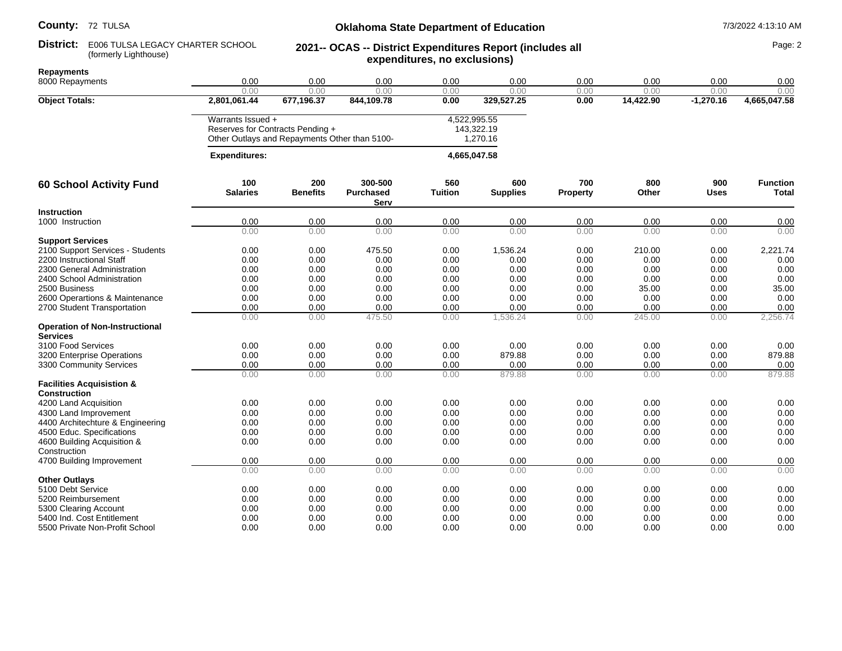# **Oklahoma State Department of Education** 7/3/2022 4:13:10 AM **2021-- OCAS -- District Expenditures Report (includes all**

#### **District:** E006 TULSA LEGACY CHARTER SCHOOL **2021-- OCAS -- District Expenditures Report (includes all** Page: 2 E006 TULSA LEGACY CHARTER SCHOOL (formerly Lighthouse)

|  | Repayments |  |
|--|------------|--|
|  |            |  |

| (formerly Lighthouse)                                    |                        |                                               |                             |                              |                        |                 |              |                    |                                 |
|----------------------------------------------------------|------------------------|-----------------------------------------------|-----------------------------|------------------------------|------------------------|-----------------|--------------|--------------------|---------------------------------|
| <b>Repayments</b>                                        |                        |                                               |                             | expenditures, no exclusions) |                        |                 |              |                    |                                 |
| 8000 Repayments                                          | 0.00                   | 0.00                                          | 0.00                        | 0.00                         | 0.00                   | 0.00            | 0.00         | 0.00               | 0.00                            |
|                                                          | 0.00                   | 0.00                                          | 0.00                        | 0.00                         | 0.00                   | 0.00            | 0.00         | 0.00               | 0.00                            |
| <b>Object Totals:</b>                                    | 2,801,061.44           | 677,196.37                                    | 844,109.78                  | 0.00                         | 329,527.25             | 0.00            | 14,422.90    | $-1,270.16$        | 4,665,047.58                    |
|                                                          | Warrants Issued +      |                                               |                             |                              | 4,522,995.55           |                 |              |                    |                                 |
|                                                          |                        | Reserves for Contracts Pending +              |                             |                              | 143,322.19             |                 |              |                    |                                 |
|                                                          |                        | Other Outlays and Repayments Other than 5100- |                             |                              | 1,270.16               |                 |              |                    |                                 |
|                                                          | <b>Expenditures:</b>   |                                               | 4,665,047.58                |                              |                        |                 |              |                    |                                 |
| <b>60 School Activity Fund</b>                           | 100<br><b>Salaries</b> | 200<br><b>Benefits</b>                        | 300-500<br><b>Purchased</b> | 560<br><b>Tuition</b>        | 600<br><b>Supplies</b> | 700<br>Property | 800<br>Other | 900<br><b>Uses</b> | <b>Function</b><br><b>Total</b> |
|                                                          |                        |                                               | Serv                        |                              |                        |                 |              |                    |                                 |
| <b>Instruction</b>                                       |                        |                                               |                             |                              |                        |                 |              |                    |                                 |
| 1000 Instruction                                         | 0.00                   | 0.00                                          | 0.00                        | 0.00                         | 0.00                   | 0.00            | 0.00         | 0.00               | 0.00                            |
| <b>Support Services</b>                                  | 0.00                   | 0.00                                          | 0.00                        | 0.00                         | 0.00                   | 0.00            | 0.00         | 0.00               | 0.00                            |
| 2100 Support Services - Students                         | 0.00                   | 0.00                                          | 475.50                      | 0.00                         | 1,536.24               | 0.00            | 210.00       | 0.00               | 2,221.74                        |
| 2200 Instructional Staff                                 | 0.00                   | 0.00                                          | 0.00                        | 0.00                         | 0.00                   | 0.00            | 0.00         | 0.00               | 0.00                            |
| 2300 General Administration                              | 0.00                   | 0.00                                          | 0.00                        | 0.00                         | 0.00                   | 0.00            | 0.00         | 0.00               | 0.00                            |
| 2400 School Administration                               | 0.00                   | 0.00                                          | 0.00                        | 0.00                         | 0.00                   | 0.00            | 0.00         | 0.00               | 0.00                            |
| 2500 Business                                            | 0.00                   | 0.00                                          | 0.00                        | 0.00                         | 0.00                   | 0.00            | 35.00        | 0.00               | 35.00                           |
| 2600 Operartions & Maintenance                           | 0.00                   | 0.00                                          | 0.00                        | 0.00                         | 0.00                   | 0.00            | 0.00         | 0.00               | 0.00                            |
| 2700 Student Transportation                              | 0.00                   | 0.00                                          | 0.00                        | 0.00                         | 0.00                   | 0.00            | 0.00         | 0.00               | 0.00                            |
|                                                          | 0.00                   | 0.00                                          | 475.50                      | 0.00                         | 1,536.24               | 0.00            | 245.00       | 0.00               | 2,256.74                        |
| <b>Operation of Non-Instructional</b><br><b>Services</b> |                        |                                               |                             |                              |                        |                 |              |                    |                                 |
| 3100 Food Services                                       | 0.00                   | 0.00                                          | 0.00                        | 0.00                         | 0.00                   | 0.00            | 0.00         | 0.00               | 0.00                            |
| 3200 Enterprise Operations                               | 0.00                   | 0.00                                          | 0.00                        | 0.00                         | 879.88                 | 0.00            | 0.00         | 0.00               | 879.88                          |
| 3300 Community Services                                  | 0.00                   | 0.00                                          | 0.00                        | 0.00                         | 0.00                   | 0.00            | 0.00         | 0.00               | 0.00                            |
|                                                          | 0.00                   | 0.00                                          | 0.00                        | 0.00                         | 879.88                 | 0.00            | 0.00         | 0.00               | 879.88                          |
| <b>Facilities Acquisistion &amp;</b>                     |                        |                                               |                             |                              |                        |                 |              |                    |                                 |
| <b>Construction</b>                                      |                        |                                               |                             |                              |                        |                 |              |                    |                                 |
| 4200 Land Acquisition                                    | 0.00                   | 0.00                                          | 0.00                        | 0.00                         | 0.00                   | 0.00            | 0.00         | 0.00               | 0.00                            |
| 4300 Land Improvement                                    | 0.00                   | 0.00                                          | 0.00                        | 0.00                         | 0.00                   | 0.00            | 0.00         | 0.00               | 0.00                            |
| 4400 Architechture & Engineering                         | 0.00                   | 0.00                                          | 0.00                        | 0.00                         | 0.00                   | 0.00            | 0.00         | 0.00               | 0.00                            |
| 4500 Educ. Specifications                                | 0.00                   | 0.00                                          | 0.00                        | 0.00                         | 0.00                   | 0.00            | 0.00         | 0.00               | 0.00                            |
| 4600 Building Acquisition &                              | 0.00                   | 0.00                                          | 0.00                        | 0.00                         | 0.00                   | 0.00            | 0.00         | 0.00               | 0.00                            |
| Construction                                             |                        |                                               |                             |                              |                        |                 |              |                    |                                 |
| 4700 Building Improvement                                | 0.00                   | 0.00                                          | 0.00                        | 0.00                         | 0.00                   | 0.00            | 0.00         | 0.00               | 0.00                            |
|                                                          | 0.00                   | 0.00                                          | 0.00                        | 0.00                         | 0.00                   | 0.00            | 0.00         | 0.00               | 0.00                            |
| <b>Other Outlays</b>                                     |                        |                                               |                             |                              |                        |                 |              |                    |                                 |
| 5100 Debt Service                                        | 0.00                   | 0.00                                          | 0.00                        | 0.00                         | 0.00                   | 0.00            | 0.00         | 0.00               | 0.00                            |
| 5200 Reimbursement                                       | 0.00                   | 0.00                                          | 0.00                        | 0.00                         | 0.00                   | 0.00            | 0.00         | 0.00               | 0.00                            |
| 5300 Clearing Account                                    | 0.00<br>0.00           | 0.00<br>0.00                                  | 0.00<br>0.00                | 0.00<br>0.00                 | 0.00<br>0.00           | 0.00<br>0.00    | 0.00<br>0.00 | 0.00<br>0.00       | 0.00<br>0.00                    |
| 5400 Ind. Cost Entitlement                               | 0.00                   |                                               |                             | 0.00                         |                        | 0.00            |              | 0.00               |                                 |
| 5500 Private Non-Profit School                           |                        | 0.00                                          | 0.00                        |                              | 0.00                   |                 | 0.00         |                    | 0.00                            |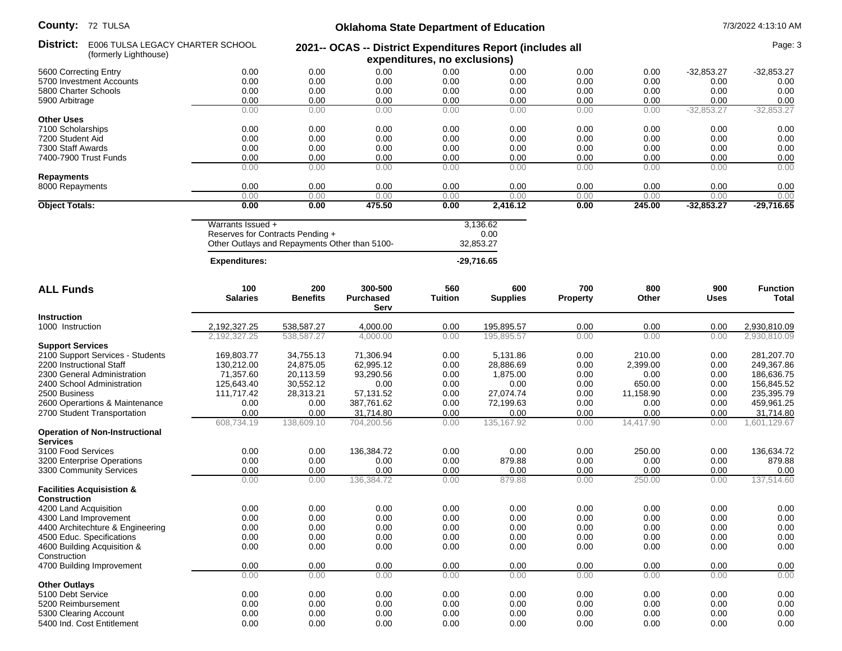**County:** 72 TULSA

## **Oklahoma State Department of Education** 7/3/2022 4:13:10 AM

| ovuniy.<br>72 IULUA                                      |                                               |                                                       | Okianoma State Department of Equeation |                       |                                                                                           |                        |                   |                    | 77372022 4.13.10 AIVI     |  |
|----------------------------------------------------------|-----------------------------------------------|-------------------------------------------------------|----------------------------------------|-----------------------|-------------------------------------------------------------------------------------------|------------------------|-------------------|--------------------|---------------------------|--|
| District:<br>(formerly Lighthouse)                       | E006 TULSA LEGACY CHARTER SCHOOL              |                                                       |                                        |                       | 2021-- OCAS -- District Expenditures Report (includes all<br>expenditures, no exclusions) |                        |                   |                    |                           |  |
| 5600 Correcting Entry                                    | 0.00                                          | 0.00                                                  | 0.00                                   | 0.00                  | 0.00                                                                                      | 0.00                   | 0.00              | $-32,853.27$       | $-32,853.27$              |  |
| 5700 Investment Accounts                                 | 0.00                                          | 0.00                                                  | 0.00                                   | 0.00                  | 0.00                                                                                      | 0.00                   | 0.00              | 0.00               | 0.00                      |  |
| 5800 Charter Schools                                     | 0.00                                          | 0.00                                                  | 0.00                                   | 0.00                  | 0.00                                                                                      | 0.00                   | 0.00              | 0.00               | 0.00                      |  |
| 5900 Arbitrage                                           | 0.00                                          | 0.00                                                  | 0.00                                   | 0.00                  | 0.00                                                                                      | 0.00                   | 0.00              | 0.00               | 0.00                      |  |
|                                                          | 0.00                                          | 0.00                                                  | 0.00                                   | 0.00                  | 0.00                                                                                      | 0.00                   | 0.00              | $-32,853.27$       | $-32,853.27$              |  |
| <b>Other Uses</b>                                        |                                               |                                                       |                                        |                       |                                                                                           |                        |                   |                    |                           |  |
| 7100 Scholarships                                        | 0.00                                          | 0.00                                                  | 0.00                                   | 0.00                  | 0.00                                                                                      | 0.00                   | 0.00              | 0.00               | 0.00                      |  |
| 7200 Student Aid                                         | 0.00                                          | 0.00                                                  | 0.00                                   | 0.00                  | 0.00                                                                                      | 0.00                   | 0.00              | 0.00               | 0.00                      |  |
| 7300 Staff Awards                                        | 0.00                                          | 0.00                                                  | 0.00                                   | 0.00                  | 0.00                                                                                      | 0.00                   | 0.00              | 0.00               | 0.00                      |  |
| 7400-7900 Trust Funds                                    | 0.00                                          | 0.00                                                  | 0.00                                   | 0.00                  | 0.00                                                                                      | 0.00                   | 0.00              | 0.00               | 0.00                      |  |
| <b>Repayments</b>                                        | 0.00                                          | 0.00                                                  | 0.00                                   | 0.00                  | 0.00                                                                                      | 0.00                   | 0.00              | 0.00               | 0.00                      |  |
| 8000 Repayments                                          | 0.00                                          | 0.00                                                  | 0.00                                   | 0.00                  | 0.00                                                                                      | 0.00                   | 0.00              | 0.00               | 0.00                      |  |
|                                                          | 0.00                                          | 0.00                                                  | 0.00                                   | 0.00                  | 0.00                                                                                      | 0.00                   | 0.00              | 0.00               | 0.00                      |  |
| <b>Object Totals:</b>                                    | 0.00                                          | 0.00                                                  | 475.50                                 | 0.00                  | 2,416.12                                                                                  | 0.00                   | 245.00            | $-32,853.27$       | $-29,716.65$              |  |
|                                                          |                                               | Warrants Issued +<br>Reserves for Contracts Pending + |                                        |                       | 3,136.62<br>0.00                                                                          |                        |                   |                    |                           |  |
|                                                          | Other Outlays and Repayments Other than 5100- |                                                       |                                        |                       | 32,853.27                                                                                 |                        |                   |                    |                           |  |
|                                                          | <b>Expenditures:</b>                          |                                                       |                                        | $-29,716.65$          |                                                                                           |                        |                   |                    |                           |  |
| <b>ALL Funds</b>                                         | 100<br><b>Salaries</b>                        | 200<br><b>Benefits</b>                                | 300-500<br><b>Purchased</b><br>Serv    | 560<br><b>Tuition</b> | 600<br><b>Supplies</b>                                                                    | 700<br><b>Property</b> | 800<br>Other      | 900<br><b>Uses</b> | <b>Function</b><br>Total  |  |
| Instruction                                              |                                               |                                                       |                                        |                       |                                                                                           |                        |                   |                    |                           |  |
| 1000 Instruction                                         | 2,192,327.25                                  | 538,587.27                                            | 4,000.00                               | 0.00                  | 195,895.57                                                                                | 0.00                   | 0.00              | 0.00               | 2,930,810.09              |  |
|                                                          | 2,192,327.25                                  | 538,587.27                                            | 4,000.00                               | 0.00                  | 195,895.57                                                                                | 0.00                   | 0.00              | 0.00               | 2,930,810.09              |  |
| <b>Support Services</b>                                  |                                               |                                                       |                                        |                       |                                                                                           |                        |                   |                    |                           |  |
| 2100 Support Services - Students                         | 169,803.77                                    | 34,755.13                                             | 71,306.94                              | 0.00                  | 5,131.86                                                                                  | 0.00                   | 210.00            | 0.00               | 281,207.70                |  |
| 2200 Instructional Staff                                 | 130,212.00                                    | 24,875.05                                             | 62,995.12                              | 0.00                  | 28,886.69                                                                                 | 0.00                   | 2,399.00          | 0.00               | 249,367.86                |  |
| 2300 General Administration                              | 71,357.60                                     | 20,113.59                                             | 93,290.56                              | 0.00                  | 1,875.00                                                                                  | 0.00                   | 0.00              | 0.00               | 186,636.75                |  |
| 2400 School Administration                               | 125,643.40                                    | 30,552.12                                             | 0.00                                   | 0.00                  | 0.00                                                                                      | 0.00                   | 650.00            | 0.00               | 156,845.52                |  |
| 2500 Business                                            | 111,717.42                                    | 28,313.21                                             | 57,131.52                              | 0.00                  | 27,074.74                                                                                 | 0.00                   | 11,158.90         | 0.00               | 235,395.79                |  |
| 2600 Operartions & Maintenance                           | 0.00                                          | 0.00                                                  | 387,761.62                             | 0.00                  | 72,199.63                                                                                 | 0.00                   | 0.00              | 0.00               | 459,961.25                |  |
| 2700 Student Transportation                              | 0.00<br>608,734.19                            | 0.00<br>138,609.10                                    | 31,714.80<br>704,200.56                | 0.00<br>0.00          | 0.00<br>135, 167. 92                                                                      | 0.00<br>0.00           | 0.00<br>14,417.90 | 0.00<br>0.00       | 31,714.80<br>1,601,129.67 |  |
| <b>Operation of Non-Instructional</b><br><b>Services</b> |                                               |                                                       |                                        |                       |                                                                                           |                        |                   |                    |                           |  |
| 3100 Food Services                                       | 0.00                                          | 0.00                                                  | 136,384.72                             | 0.00                  | 0.00                                                                                      | 0.00                   | 250.00            | 0.00               | 136,634.72                |  |
| 3200 Enterprise Operations                               | 0.00                                          | 0.00                                                  | 0.00                                   | 0.00                  | 879.88                                                                                    | 0.00                   | 0.00              | 0.00               | 879.88                    |  |
| 3300 Community Services                                  | 0.00                                          | 0.00                                                  | 0.00                                   | 0.00                  | 0.00                                                                                      | 0.00                   | 0.00              | 0.00               | 0.00                      |  |
| <b>Facilities Acquisistion &amp;</b>                     | 0.00                                          | 0.00                                                  | 136,384.72                             | 0.00                  | 879.88                                                                                    | 0.00                   | 250.00            | 0.00               | 137.514.60                |  |
| <b>Construction</b>                                      |                                               |                                                       |                                        |                       |                                                                                           |                        |                   |                    |                           |  |
| 4200 Land Acquisition                                    | 0.00                                          | 0.00                                                  | 0.00                                   | 0.00                  | 0.00                                                                                      | 0.00                   | 0.00              | 0.00               | 0.00                      |  |
| 4300 Land Improvement                                    | 0.00                                          | 0.00                                                  | 0.00                                   | 0.00                  | 0.00                                                                                      | 0.00                   | 0.00              | 0.00               | 0.00                      |  |
| 4400 Architechture & Engineering                         | 0.00                                          | 0.00                                                  | 0.00                                   | 0.00                  | 0.00                                                                                      | 0.00                   | 0.00              | 0.00               | 0.00                      |  |
| 4500 Educ. Specifications                                | 0.00                                          | 0.00                                                  | 0.00                                   | 0.00                  | 0.00                                                                                      | 0.00                   | 0.00              | 0.00               | 0.00                      |  |
| 4600 Building Acquisition &<br>Construction              | 0.00                                          | 0.00                                                  | 0.00                                   | 0.00                  | 0.00                                                                                      | 0.00                   | 0.00              | 0.00               | 0.00                      |  |
| 4700 Building Improvement                                | 0.00                                          | 0.00                                                  | 0.00                                   | 0.00                  | 0.00                                                                                      | 0.00                   | 0.00              | 0.00               | 0.00                      |  |
|                                                          | 0.00                                          | 0.00                                                  | 0.00                                   | 0.00                  | 0.00                                                                                      | 0.00                   | 0.00              | 0.00               | 0.00                      |  |
| <b>Other Outlays</b>                                     |                                               |                                                       |                                        |                       |                                                                                           |                        |                   |                    |                           |  |
| 5100 Debt Service                                        | 0.00                                          | 0.00                                                  | 0.00                                   | 0.00                  | 0.00                                                                                      | 0.00                   | 0.00              | 0.00               | 0.00                      |  |
| 5200 Reimbursement                                       | 0.00                                          | 0.00                                                  | 0.00                                   | 0.00                  | 0.00                                                                                      | 0.00                   | 0.00              | 0.00               | 0.00                      |  |
| 5300 Clearing Account                                    | 0.00                                          | 0.00                                                  | 0.00                                   | 0.00                  | 0.00                                                                                      | 0.00                   | 0.00              | 0.00               | 0.00                      |  |
| 5400 Ind. Cost Entitlement                               | 0.00                                          | 0.00                                                  | 0.00                                   | 0.00                  | 0.00                                                                                      | 0.00                   | 0.00              | 0.00               | 0.00                      |  |